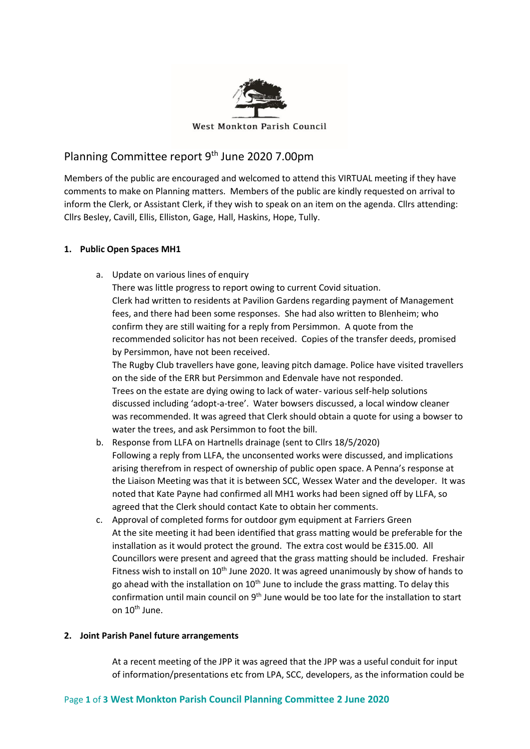

# Planning Committee report 9th June 2020 7.00pm

Members of the public are encouraged and welcomed to attend this VIRTUAL meeting if they have comments to make on Planning matters. Members of the public are kindly requested on arrival to inform the Clerk, or Assistant Clerk, if they wish to speak on an item on the agenda. Cllrs attending: Cllrs Besley, Cavill, Ellis, Elliston, Gage, Hall, Haskins, Hope, Tully.

# **1. Public Open Spaces MH1**

a. Update on various lines of enquiry There was little progress to report owing to current Covid situation. Clerk had written to residents at Pavilion Gardens regarding payment of Management fees, and there had been some responses. She had also written to Blenheim; who confirm they are still waiting for a reply from Persimmon. A quote from the recommended solicitor has not been received. Copies of the transfer deeds, promised by Persimmon, have not been received.

The Rugby Club travellers have gone, leaving pitch damage. Police have visited travellers on the side of the ERR but Persimmon and Edenvale have not responded. Trees on the estate are dying owing to lack of water- various self-help solutions discussed including 'adopt-a-tree'. Water bowsers discussed, a local window cleaner was recommended. It was agreed that Clerk should obtain a quote for using a bowser to water the trees, and ask Persimmon to foot the bill.

- b. Response from LLFA on Hartnells drainage (sent to Cllrs 18/5/2020) Following a reply from LLFA, the unconsented works were discussed, and implications arising therefrom in respect of ownership of public open space. A Penna's response at the Liaison Meeting was that it is between SCC, Wessex Water and the developer. It was noted that Kate Payne had confirmed all MH1 works had been signed off by LLFA, so agreed that the Clerk should contact Kate to obtain her comments.
- c. Approval of completed forms for outdoor gym equipment at Farriers Green At the site meeting it had been identified that grass matting would be preferable for the installation as it would protect the ground. The extra cost would be £315.00. All Councillors were present and agreed that the grass matting should be included. Freshair Fitness wish to install on 10<sup>th</sup> June 2020. It was agreed unanimously by show of hands to go ahead with the installation on  $10<sup>th</sup>$  June to include the grass matting. To delay this confirmation until main council on  $9<sup>th</sup>$  June would be too late for the installation to start on 10<sup>th</sup> June.

# **2. Joint Parish Panel future arrangements**

At a recent meeting of the JPP it was agreed that the JPP was a useful conduit for input of information/presentations etc from LPA, SCC, developers, as the information could be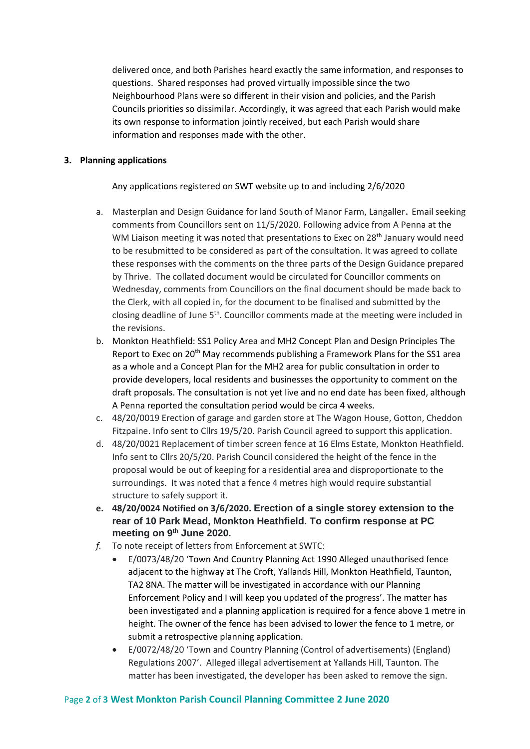delivered once, and both Parishes heard exactly the same information, and responses to questions. Shared responses had proved virtually impossible since the two Neighbourhood Plans were so different in their vision and policies, and the Parish Councils priorities so dissimilar. Accordingly, it was agreed that each Parish would make its own response to information jointly received, but each Parish would share information and responses made with the other.

## **3. Planning applications**

Any applications registered on SWT website up to and including 2/6/2020

- a. Masterplan and Design Guidance for land South of Manor Farm, Langaller. Email seeking comments from Councillors sent on 11/5/2020. Following advice from A Penna at the WM Liaison meeting it was noted that presentations to Exec on 28<sup>th</sup> January would need to be resubmitted to be considered as part of the consultation. It was agreed to collate these responses with the comments on the three parts of the Design Guidance prepared by Thrive. The collated document would be circulated for Councillor comments on Wednesday, comments from Councillors on the final document should be made back to the Clerk, with all copied in, for the document to be finalised and submitted by the closing deadline of June 5th. Councillor comments made at the meeting were included in the revisions.
- b. [Monkton Heathfield: SS1 Policy Area and MH2 Concept Plan and Design Principles](https://democracy.somersetwestandtaunton.gov.uk/documents/s8858/Monkton%20Heathfield%20SS1%20Policy%20Area%20and%20MH2%20Concept%20Plan%20and%20Design%20Principles.pdf) The Report to Exec on 20th May recommends publishing a Framework Plans for the SS1 area as a whole and a Concept Plan for the MH2 area for public consultation in order to provide developers, local residents and businesses the opportunity to comment on the draft proposals. The consultation is not yet live and no end date has been fixed, although A Penna reported the consultation period would be circa 4 weeks.
- c. 48/20/0019 Erection of garage and garden store at The Wagon House, Gotton, Cheddon Fitzpaine. Info sent to Cllrs 19/5/20. Parish Council agreed to support this application.
- d. 48/20/0021 Replacement of timber screen fence at 16 Elms Estate, Monkton Heathfield. Info sent to Cllrs 20/5/20. Parish Council considered the height of the fence in the proposal would be out of keeping for a residential area and disproportionate to the surroundings. It was noted that a fence 4 metres high would require substantial structure to safely support it.
- **e. 48/20/0024 Notified on 3/6/2020. Erection of a single storey extension to the rear of 10 Park Mead, Monkton Heathfield. To confirm response at PC meeting on 9th June 2020.**
- *f.* To note receipt of letters from Enforcement at SWTC:
	- E/0073/48/20 'Town And Country Planning Act 1990 Alleged unauthorised fence adjacent to the highway at The Croft, Yallands Hill, Monkton Heathfield, Taunton, TA2 8NA. The matter will be investigated in accordance with our Planning Enforcement Policy and I will keep you updated of the progress'. The matter has been investigated and a planning application is required for a fence above 1 metre in height. The owner of the fence has been advised to lower the fence to 1 metre, or submit a retrospective planning application.
	- E/0072/48/20 'Town and Country Planning (Control of advertisements) (England) Regulations 2007'. Alleged illegal advertisement at Yallands Hill, Taunton. The matter has been investigated, the developer has been asked to remove the sign.